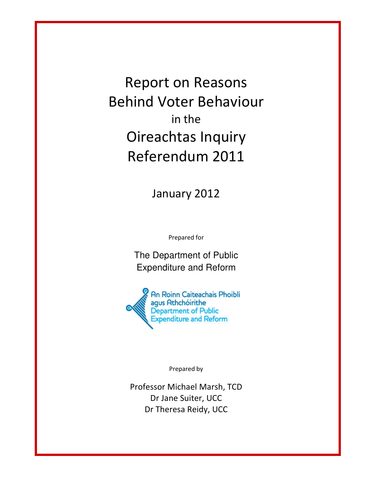Report on Reasons Behind Voter Behaviour in the Oireachtas Inquiry Referendum 2011

January 2012

Prepared for

The Department of Public Expenditure and Reform



Prepared by

Professor Michael Marsh, TCD Dr Jane Suiter, UCC Dr Theresa Reidy, UCC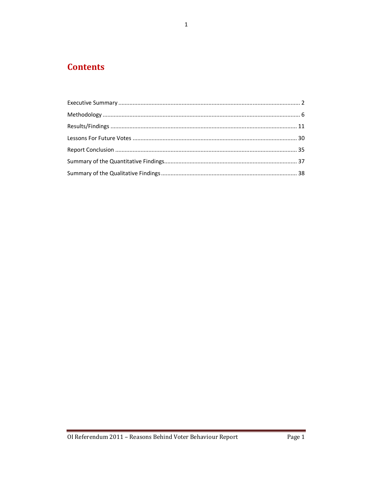# **Contents**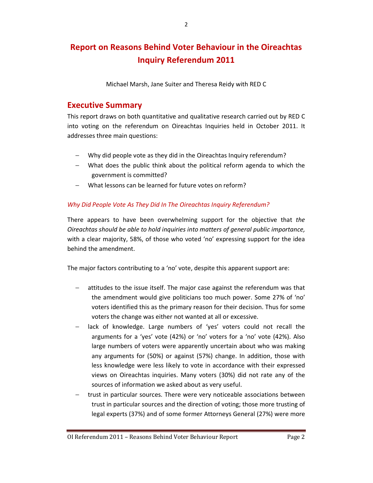# Report on Reasons Behind Voter Behaviour in the Oireachtas Inquiry Referendum 2011

Michael Marsh, Jane Suiter and Theresa Reidy with RED C

## Executive Summary

This report draws on both quantitative and qualitative research carried out by RED C into voting on the referendum on Oireachtas Inquiries held in October 2011. It addresses three main questions:

- − Why did people vote as they did in the Oireachtas Inquiry referendum?
- − What does the public think about the political reform agenda to which the government is committed?
- − What lessons can be learned for future votes on reform?

## Why Did People Vote As They Did In The Oireachtas Inquiry Referendum?

There appears to have been overwhelming support for the objective that the Oireachtas should be able to hold inquiries into matters of general public importance, with a clear majority, 58%, of those who voted 'no' expressing support for the idea behind the amendment.

The major factors contributing to a 'no' vote, despite this apparent support are:

- attitudes to the issue itself. The major case against the referendum was that the amendment would give politicians too much power. Some 27% of 'no' voters identified this as the primary reason for their decision. Thus for some voters the change was either not wanted at all or excessive.
- lack of knowledge. Large numbers of 'yes' voters could not recall the arguments for a 'yes' vote (42%) or 'no' voters for a 'no' vote (42%). Also large numbers of voters were apparently uncertain about who was making any arguments for (50%) or against (57%) change. In addition, those with less knowledge were less likely to vote in accordance with their expressed views on Oireachtas inquiries. Many voters (30%) did not rate any of the sources of information we asked about as very useful.
- − trust in particular sources. There were very noticeable associations between trust in particular sources and the direction of voting; those more trusting of legal experts (37%) and of some former Attorneys General (27%) were more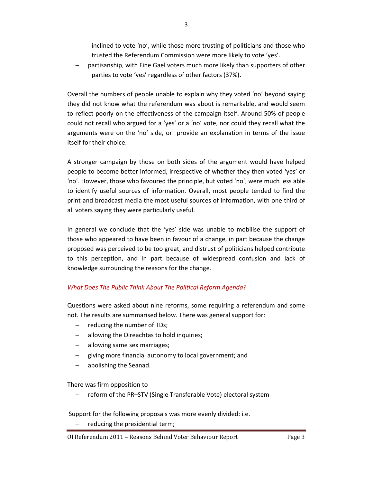inclined to vote 'no', while those more trusting of politicians and those who trusted the Referendum Commission were more likely to vote 'yes'.

− partisanship, with Fine Gael voters much more likely than supporters of other parties to vote 'yes' regardless of other factors (37%).

Overall the numbers of people unable to explain why they voted 'no' beyond saying they did not know what the referendum was about is remarkable, and would seem to reflect poorly on the effectiveness of the campaign itself. Around 50% of people could not recall who argued for a 'yes' or a 'no' vote, nor could they recall what the arguments were on the 'no' side, or provide an explanation in terms of the issue itself for their choice.

A stronger campaign by those on both sides of the argument would have helped people to become better informed, irrespective of whether they then voted 'yes' or 'no'. However, those who favoured the principle, but voted 'no', were much less able to identify useful sources of information. Overall, most people tended to find the print and broadcast media the most useful sources of information, with one third of all voters saying they were particularly useful.

In general we conclude that the 'yes' side was unable to mobilise the support of those who appeared to have been in favour of a change, in part because the change proposed was perceived to be too great, and distrust of politicians helped contribute to this perception, and in part because of widespread confusion and lack of knowledge surrounding the reasons for the change.

## What Does The Public Think About The Political Reform Agenda?

Questions were asked about nine reforms, some requiring a referendum and some not. The results are summarised below. There was general support for:

- − reducing the number of TDs;
- allowing the Oireachtas to hold inquiries;
- − allowing same sex marriages;
- − giving more financial autonomy to local government; and
- − abolishing the Seanad.

There was firm opposition to

− reform of the PR–STV (Single Transferable Vote) electoral system

Support for the following proposals was more evenly divided: i.e.

− reducing the presidential term;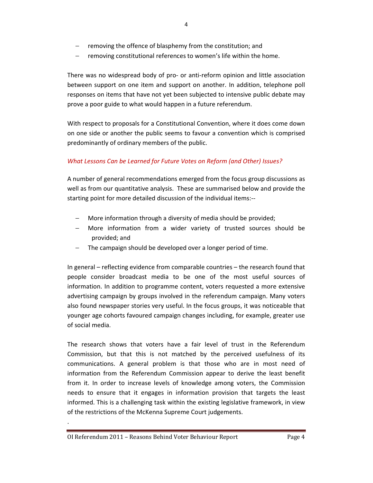- − removing the offence of blasphemy from the constitution; and
- − removing constitutional references to women's life within the home.

There was no widespread body of pro- or anti-reform opinion and little association between support on one item and support on another. In addition, telephone poll responses on items that have not yet been subjected to intensive public debate may prove a poor guide to what would happen in a future referendum.

With respect to proposals for a Constitutional Convention, where it does come down on one side or another the public seems to favour a convention which is comprised predominantly of ordinary members of the public.

## What Lessons Can be Learned for Future Votes on Reform (and Other) Issues?

A number of general recommendations emerged from the focus group discussions as well as from our quantitative analysis. These are summarised below and provide the starting point for more detailed discussion of the individual items:--

- More information through a diversity of media should be provided;
- More information from a wider variety of trusted sources should be provided; and
- The campaign should be developed over a longer period of time.

In general – reflecting evidence from comparable countries – the research found that people consider broadcast media to be one of the most useful sources of information. In addition to programme content, voters requested a more extensive advertising campaign by groups involved in the referendum campaign. Many voters also found newspaper stories very useful. In the focus groups, it was noticeable that younger age cohorts favoured campaign changes including, for example, greater use of social media.

The research shows that voters have a fair level of trust in the Referendum Commission, but that this is not matched by the perceived usefulness of its communications. A general problem is that those who are in most need of information from the Referendum Commission appear to derive the least benefit from it. In order to increase levels of knowledge among voters, the Commission needs to ensure that it engages in information provision that targets the least informed. This is a challenging task within the existing legislative framework, in view of the restrictions of the McKenna Supreme Court judgements.

.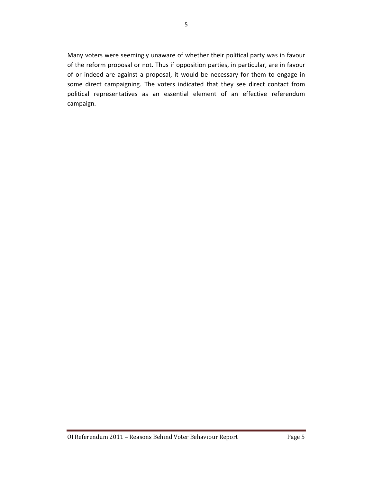Many voters were seemingly unaware of whether their political party was in favour of the reform proposal or not. Thus if opposition parties, in particular, are in favour of or indeed are against a proposal, it would be necessary for them to engage in some direct campaigning. The voters indicated that they see direct contact from political representatives as an essential element of an effective referendum campaign.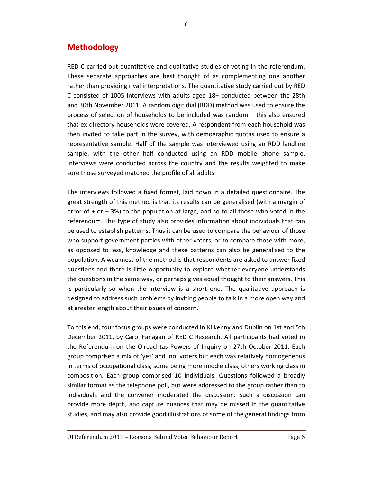## Methodology

RED C carried out quantitative and qualitative studies of voting in the referendum. These separate approaches are best thought of as complementing one another rather than providing rival interpretations. The quantitative study carried out by RED C consisted of 1005 interviews with adults aged 18+ conducted between the 28th and 30th November 2011. A random digit dial (RDD) method was used to ensure the process of selection of households to be included was random – this also ensured that ex-directory households were covered. A respondent from each household was then invited to take part in the survey, with demographic quotas used to ensure a representative sample. Half of the sample was interviewed using an RDD landline sample, with the other half conducted using an RDD mobile phone sample. Interviews were conducted across the country and the results weighted to make sure those surveyed matched the profile of all adults.

The interviews followed a fixed format, laid down in a detailed questionnaire. The great strength of this method is that its results can be generalised (with a margin of error of  $+$  or  $-$  3%) to the population at large, and so to all those who voted in the referendum. This type of study also provides information about individuals that can be used to establish patterns. Thus it can be used to compare the behaviour of those who support government parties with other voters, or to compare those with more, as opposed to less, knowledge and these patterns can also be generalised to the population. A weakness of the method is that respondents are asked to answer fixed questions and there is little opportunity to explore whether everyone understands the questions in the same way, or perhaps gives equal thought to their answers. This is particularly so when the interview is a short one. The qualitative approach is designed to address such problems by inviting people to talk in a more open way and at greater length about their issues of concern.

To this end, four focus groups were conducted in Kilkenny and Dublin on 1st and 5th December 2011, by Carol Fanagan of RED C Research. All participants had voted in the Referendum on the Oireachtas Powers of Inquiry on 27th October 2011. Each group comprised a mix of 'yes' and 'no' voters but each was relatively homogeneous in terms of occupational class, some being more middle class, others working class in composition. Each group comprised 10 individuals. Questions followed a broadly similar format as the telephone poll, but were addressed to the group rather than to individuals and the convener moderated the discussion. Such a discussion can provide more depth, and capture nuances that may be missed in the quantitative studies, and may also provide good illustrations of some of the general findings from

6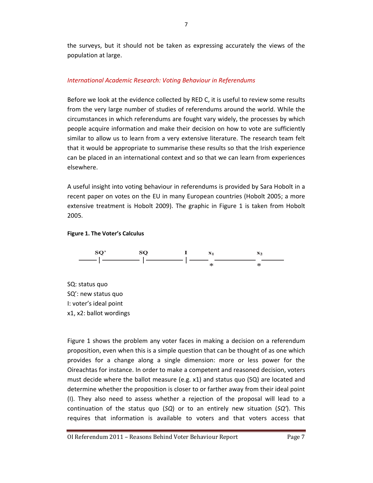the surveys, but it should not be taken as expressing accurately the views of the population at large.

## International Academic Research: Voting Behaviour in Referendums

Before we look at the evidence collected by RED C, it is useful to review some results from the very large number of studies of referendums around the world. While the circumstances in which referendums are fought vary widely, the processes by which people acquire information and make their decision on how to vote are sufficiently similar to allow us to learn from a very extensive literature. The research team felt that it would be appropriate to summarise these results so that the Irish experience can be placed in an international context and so that we can learn from experiences elsewhere.

A useful insight into voting behaviour in referendums is provided by Sara Hobolt in a recent paper on votes on the EU in many European countries (Hobolt 2005; a more extensive treatment is Hobolt 2009). The graphic in Figure 1 is taken from Hobolt 2005.

### Figure 1. The Voter's Calculus



SQ: status quo SQ': new status quo I: voter's ideal point x1, x2: ballot wordings

Figure 1 shows the problem any voter faces in making a decision on a referendum proposition, even when this is a simple question that can be thought of as one which provides for a change along a single dimension: more or less power for the Oireachtas for instance. In order to make a competent and reasoned decision, voters must decide where the ballot measure (e.g. x1) and status quo (SQ) are located and determine whether the proposition is closer to or farther away from their ideal point (I). They also need to assess whether a rejection of the proposal will lead to a continuation of the status quo  $(SQ)$  or to an entirely new situation  $(SQ')$ . This requires that information is available to voters and that voters access that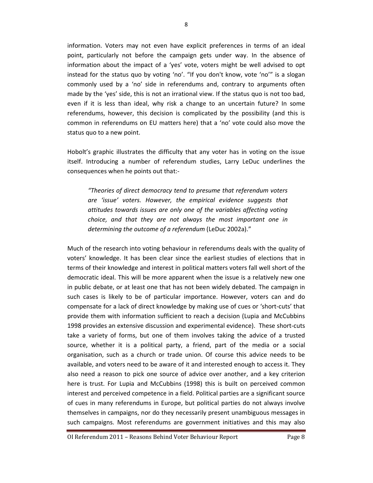information. Voters may not even have explicit preferences in terms of an ideal point, particularly not before the campaign gets under way. In the absence of information about the impact of a 'yes' vote, voters might be well advised to opt instead for the status quo by voting 'no'. "If you don't know, vote 'no'" is a slogan commonly used by a 'no' side in referendums and, contrary to arguments often made by the 'yes' side, this is not an irrational view. If the status quo is not too bad, even if it is less than ideal, why risk a change to an uncertain future? In some referendums, however, this decision is complicated by the possibility (and this is common in referendums on EU matters here) that a 'no' vote could also move the status quo to a new point.

Hobolt's graphic illustrates the difficulty that any voter has in voting on the issue itself. Introducing a number of referendum studies, Larry LeDuc underlines the consequences when he points out that:-

"Theories of direct democracy tend to presume that referendum voters are 'issue' voters. However, the empirical evidence suggests that attitudes towards issues are only one of the variables affecting voting choice, and that they are not always the most important one in determining the outcome of a referendum (LeDuc 2002a)."

Much of the research into voting behaviour in referendums deals with the quality of voters' knowledge. It has been clear since the earliest studies of elections that in terms of their knowledge and interest in political matters voters fall well short of the democratic ideal. This will be more apparent when the issue is a relatively new one in public debate, or at least one that has not been widely debated. The campaign in such cases is likely to be of particular importance. However, voters can and do compensate for a lack of direct knowledge by making use of cues or 'short-cuts' that provide them with information sufficient to reach a decision (Lupia and McCubbins 1998 provides an extensive discussion and experimental evidence). These short-cuts take a variety of forms, but one of them involves taking the advice of a trusted source, whether it is a political party, a friend, part of the media or a social organisation, such as a church or trade union. Of course this advice needs to be available, and voters need to be aware of it and interested enough to access it. They also need a reason to pick one source of advice over another, and a key criterion here is trust. For Lupia and McCubbins (1998) this is built on perceived common interest and perceived competence in a field. Political parties are a significant source of cues in many referendums in Europe, but political parties do not always involve themselves in campaigns, nor do they necessarily present unambiguous messages in such campaigns. Most referendums are government initiatives and this may also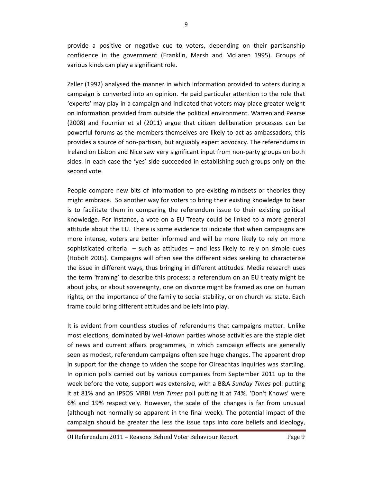provide a positive or negative cue to voters, depending on their partisanship confidence in the government (Franklin, Marsh and McLaren 1995). Groups of various kinds can play a significant role.

Zaller (1992) analysed the manner in which information provided to voters during a campaign is converted into an opinion. He paid particular attention to the role that 'experts' may play in a campaign and indicated that voters may place greater weight on information provided from outside the political environment. Warren and Pearse (2008) and Fournier et al (2011) argue that citizen deliberation processes can be powerful forums as the members themselves are likely to act as ambassadors; this provides a source of non-partisan, but arguably expert advocacy. The referendums in Ireland on Lisbon and Nice saw very significant input from non-party groups on both sides. In each case the 'yes' side succeeded in establishing such groups only on the second vote.

People compare new bits of information to pre-existing mindsets or theories they might embrace. So another way for voters to bring their existing knowledge to bear is to facilitate them in comparing the referendum issue to their existing political knowledge. For instance, a vote on a EU Treaty could be linked to a more general attitude about the EU. There is some evidence to indicate that when campaigns are more intense, voters are better informed and will be more likely to rely on more sophisticated criteria – such as attitudes – and less likely to rely on simple cues (Hobolt 2005). Campaigns will often see the different sides seeking to characterise the issue in different ways, thus bringing in different attitudes. Media research uses the term 'framing' to describe this process: a referendum on an EU treaty might be about jobs, or about sovereignty, one on divorce might be framed as one on human rights, on the importance of the family to social stability, or on church vs. state. Each frame could bring different attitudes and beliefs into play.

It is evident from countless studies of referendums that campaigns matter. Unlike most elections, dominated by well-known parties whose activities are the staple diet of news and current affairs programmes, in which campaign effects are generally seen as modest, referendum campaigns often see huge changes. The apparent drop in support for the change to widen the scope for Oireachtas Inquiries was startling. In opinion polls carried out by various companies from September 2011 up to the week before the vote, support was extensive, with a B&A Sunday Times poll putting it at 81% and an IPSOS MRBI Irish Times poll putting it at 74%. 'Don't Knows' were 6% and 19% respectively. However, the scale of the changes is far from unusual (although not normally so apparent in the final week). The potential impact of the campaign should be greater the less the issue taps into core beliefs and ideology,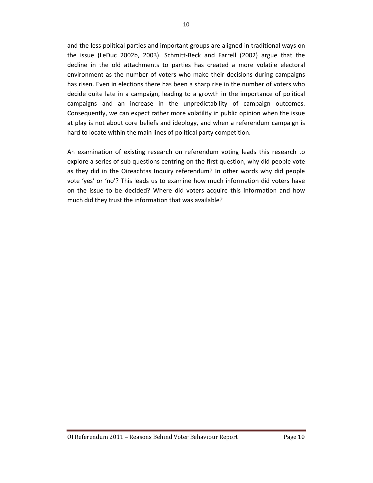and the less political parties and important groups are aligned in traditional ways on the issue (LeDuc 2002b, 2003). Schmitt-Beck and Farrell (2002) argue that the decline in the old attachments to parties has created a more volatile electoral environment as the number of voters who make their decisions during campaigns has risen. Even in elections there has been a sharp rise in the number of voters who decide quite late in a campaign, leading to a growth in the importance of political campaigns and an increase in the unpredictability of campaign outcomes. Consequently, we can expect rather more volatility in public opinion when the issue at play is not about core beliefs and ideology, and when a referendum campaign is hard to locate within the main lines of political party competition.

An examination of existing research on referendum voting leads this research to explore a series of sub questions centring on the first question, why did people vote as they did in the Oireachtas Inquiry referendum? In other words why did people vote 'yes' or 'no'? This leads us to examine how much information did voters have on the issue to be decided? Where did voters acquire this information and how much did they trust the information that was available?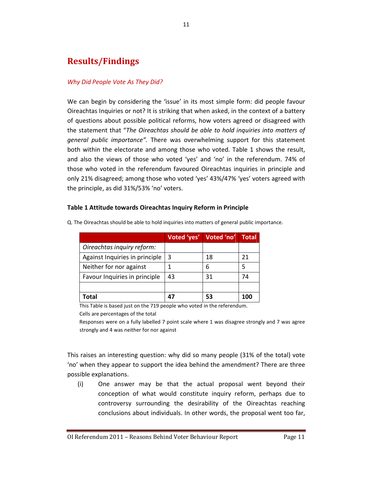## Results/Findings

## Why Did People Vote As They Did?

We can begin by considering the 'issue' in its most simple form: did people favour Oireachtas Inquiries or not? It is striking that when asked, in the context of a battery of questions about possible political reforms, how voters agreed or disagreed with the statement that "The Oireachtas should be able to hold inquiries into matters of general public importance". There was overwhelming support for this statement both within the electorate and among those who voted. Table 1 shows the result, and also the views of those who voted 'yes' and 'no' in the referendum. 74% of those who voted in the referendum favoured Oireachtas inquiries in principle and only 21% disagreed; among those who voted 'yes' 43%/47% 'yes' voters agreed with the principle, as did 31%/53% 'no' voters.

#### Table 1 Attitude towards Oireachtas Inquiry Reform in Principle

|                                | Voted 'yes' | Voted 'no' | <b>Total</b> |
|--------------------------------|-------------|------------|--------------|
| Oireachtas inquiry reform:     |             |            |              |
| Against Inquiries in principle | 3           | 18         | 21           |
| Neither for nor against        |             | 6          | 5            |
| Favour Inquiries in principle  | 43          | 31         | 74           |
|                                |             |            |              |
| Total                          | 47          | 53         | 100          |

Q. The Oireachtas should be able to hold inquiries into matters of general public importance.

This Table is based just on the 719 people who voted in the referendum. Cells are percentages of the total

Responses were on a fully labelled 7 point scale where 1 was disagree strongly and 7 was agree strongly and 4 was neither for nor against

This raises an interesting question: why did so many people (31% of the total) vote 'no' when they appear to support the idea behind the amendment? There are three possible explanations.

(i) One answer may be that the actual proposal went beyond their conception of what would constitute inquiry reform, perhaps due to controversy surrounding the desirability of the Oireachtas reaching conclusions about individuals. In other words, the proposal went too far,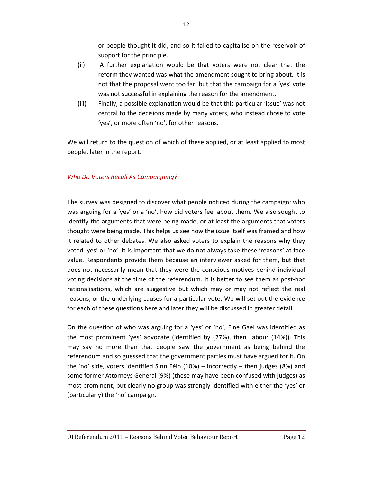or people thought it did, and so it failed to capitalise on the reservoir of support for the principle.

- (ii) A further explanation would be that voters were not clear that the reform they wanted was what the amendment sought to bring about. It is not that the proposal went too far, but that the campaign for a 'yes' vote was not successful in explaining the reason for the amendment.
- (iii) Finally, a possible explanation would be that this particular 'issue' was not central to the decisions made by many voters, who instead chose to vote 'yes', or more often 'no', for other reasons.

We will return to the question of which of these applied, or at least applied to most people, later in the report.

## Who Do Voters Recall As Campaigning?

The survey was designed to discover what people noticed during the campaign: who was arguing for a 'yes' or a 'no', how did voters feel about them. We also sought to identify the arguments that were being made, or at least the arguments that voters thought were being made. This helps us see how the issue itself was framed and how it related to other debates. We also asked voters to explain the reasons why they voted 'yes' or 'no'. It is important that we do not always take these 'reasons' at face value. Respondents provide them because an interviewer asked for them, but that does not necessarily mean that they were the conscious motives behind individual voting decisions at the time of the referendum. It is better to see them as post-hoc rationalisations, which are suggestive but which may or may not reflect the real reasons, or the underlying causes for a particular vote. We will set out the evidence for each of these questions here and later they will be discussed in greater detail.

On the question of who was arguing for a 'yes' or 'no', Fine Gael was identified as the most prominent 'yes' advocate (identified by (27%), then Labour (14%)). This may say no more than that people saw the government as being behind the referendum and so guessed that the government parties must have argued for it. On the 'no' side, voters identified Sinn Féin (10%) – incorrectly – then judges (8%) and some former Attorneys General (9%) (these may have been confused with judges) as most prominent, but clearly no group was strongly identified with either the 'yes' or (particularly) the 'no' campaign.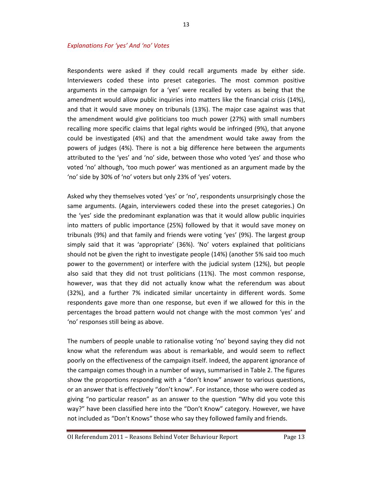Respondents were asked if they could recall arguments made by either side. Interviewers coded these into preset categories. The most common positive arguments in the campaign for a 'yes' were recalled by voters as being that the amendment would allow public inquiries into matters like the financial crisis (14%), and that it would save money on tribunals (13%). The major case against was that the amendment would give politicians too much power (27%) with small numbers recalling more specific claims that legal rights would be infringed (9%), that anyone could be investigated (4%) and that the amendment would take away from the powers of judges (4%). There is not a big difference here between the arguments attributed to the 'yes' and 'no' side, between those who voted 'yes' and those who voted 'no' although, 'too much power' was mentioned as an argument made by the 'no' side by 30% of 'no' voters but only 23% of 'yes' voters.

Asked why they themselves voted 'yes' or 'no', respondents unsurprisingly chose the same arguments. (Again, interviewers coded these into the preset categories.) On the 'yes' side the predominant explanation was that it would allow public inquiries into matters of public importance (25%) followed by that it would save money on tribunals (9%) and that family and friends were voting 'yes' (9%). The largest group simply said that it was 'appropriate' (36%). 'No' voters explained that politicians should not be given the right to investigate people (14%) (another 5% said too much power to the government) or interfere with the judicial system (12%), but people also said that they did not trust politicians (11%). The most common response, however, was that they did not actually know what the referendum was about (32%), and a further 7% indicated similar uncertainty in different words. Some respondents gave more than one response, but even if we allowed for this in the percentages the broad pattern would not change with the most common 'yes' and 'no' responses still being as above.

The numbers of people unable to rationalise voting 'no' beyond saying they did not know what the referendum was about is remarkable, and would seem to reflect poorly on the effectiveness of the campaign itself. Indeed, the apparent ignorance of the campaign comes though in a number of ways, summarised in Table 2. The figures show the proportions responding with a "don't know" answer to various questions, or an answer that is effectively "don't know". For instance, those who were coded as giving "no particular reason" as an answer to the question "Why did you vote this way?" have been classified here into the "Don't Know" category. However, we have not included as "Don't Knows" those who say they followed family and friends.

13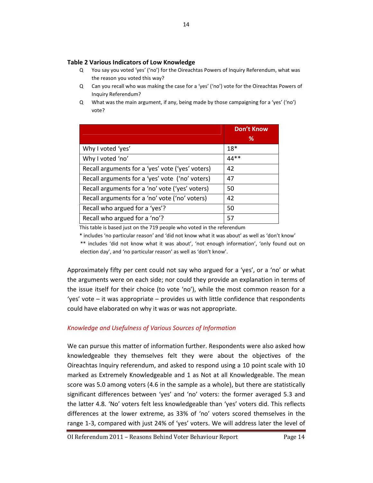#### Table 2 Various Indicators of Low Knowledge

- Q You say you voted 'yes' ('no') for the Oireachtas Powers of Inquiry Referendum, what was the reason you voted this way?
- Q Can you recall who was making the case for a 'yes' ('no') vote for the Oireachtas Powers of Inquiry Referendum?
- Q What was the main argument, if any, being made by those campaigning for a 'yes' ('no') vote?

|                                                  | <b>Don't Know</b> |
|--------------------------------------------------|-------------------|
|                                                  | ℅                 |
| Why I voted 'yes'                                | $18*$             |
| Why I voted 'no'                                 | $44**$            |
| Recall arguments for a 'yes' vote ('yes' voters) | 42                |
| Recall arguments for a 'yes' vote ('no' voters)  | 47                |
| Recall arguments for a 'no' vote ('yes' voters)  | 50                |
| Recall arguments for a 'no' vote ('no' voters)   | 42                |
| Recall who argued for a 'yes'?                   | 50                |
| Recall who argued for a 'no'?                    | 57                |

This table is based just on the 719 people who voted in the referendum

\* includes 'no particular reason' and 'did not know what it was about' as well as 'don't know'

 \*\* includes 'did not know what it was about', 'not enough information', 'only found out on election day', and 'no particular reason' as well as 'don't know'.

Approximately fifty per cent could not say who argued for a 'yes', or a 'no' or what the arguments were on each side; nor could they provide an explanation in terms of the issue itself for their choice (to vote 'no'), while the most common reason for a 'yes' vote – it was appropriate – provides us with little confidence that respondents could have elaborated on why it was or was not appropriate.

### Knowledge and Usefulness of Various Sources of Information

We can pursue this matter of information further. Respondents were also asked how knowledgeable they themselves felt they were about the objectives of the Oireachtas Inquiry referendum, and asked to respond using a 10 point scale with 10 marked as Extremely Knowledgeable and 1 as Not at all Knowledgeable. The mean score was 5.0 among voters (4.6 in the sample as a whole), but there are statistically significant differences between 'yes' and 'no' voters: the former averaged 5.3 and the latter 4.8. 'No' voters felt less knowledgeable than 'yes' voters did. This reflects differences at the lower extreme, as 33% of 'no' voters scored themselves in the range 1-3, compared with just 24% of 'yes' voters. We will address later the level of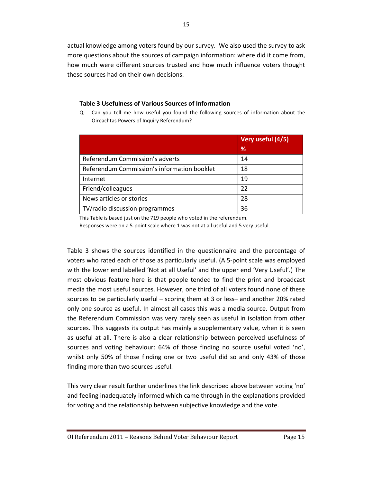actual knowledge among voters found by our survey. We also used the survey to ask more questions about the sources of campaign information: where did it come from, how much were different sources trusted and how much influence voters thought these sources had on their own decisions.

15

### Table 3 Usefulness of Various Sources of Information

Q: Can you tell me how useful you found the following sources of information about the Oireachtas Powers of Inquiry Referendum?

|                                             | Very useful (4/5)<br>℅ |
|---------------------------------------------|------------------------|
| Referendum Commission's adverts             | 14                     |
| Referendum Commission's information booklet | 18                     |
| Internet                                    | 19                     |
| Friend/colleagues                           | 22                     |
| News articles or stories                    | 28                     |
| TV/radio discussion programmes              | 36                     |

This Table is based just on the 719 people who voted in the referendum.

Responses were on a 5-point scale where 1 was not at all useful and 5 very useful.

Table 3 shows the sources identified in the questionnaire and the percentage of voters who rated each of those as particularly useful. (A 5-point scale was employed with the lower end labelled 'Not at all Useful' and the upper end 'Very Useful'.) The most obvious feature here is that people tended to find the print and broadcast media the most useful sources. However, one third of all voters found none of these sources to be particularly useful – scoring them at 3 or less– and another 20% rated only one source as useful. In almost all cases this was a media source. Output from the Referendum Commission was very rarely seen as useful in isolation from other sources. This suggests its output has mainly a supplementary value, when it is seen as useful at all. There is also a clear relationship between perceived usefulness of sources and voting behaviour: 64% of those finding no source useful voted 'no', whilst only 50% of those finding one or two useful did so and only 43% of those finding more than two sources useful.

This very clear result further underlines the link described above between voting 'no' and feeling inadequately informed which came through in the explanations provided for voting and the relationship between subjective knowledge and the vote.

OI Referendum 2011 – Reasons Behind Voter Behaviour Report Page 15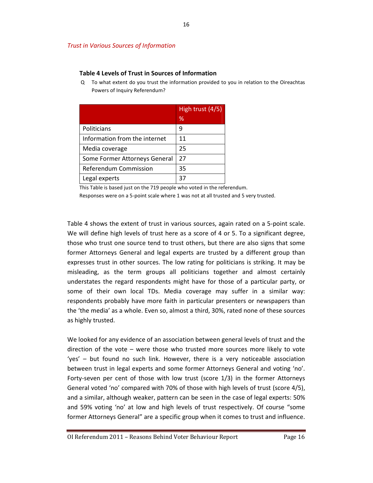### Trust in Various Sources of Information

#### Table 4 Levels of Trust in Sources of Information

 Q To what extent do you trust the information provided to you in relation to the Oireachtas Powers of Inquiry Referendum?

|                               | High trust $(4/5)$ |
|-------------------------------|--------------------|
|                               | ℅                  |
| Politicians                   | 9                  |
| Information from the internet | 11                 |
| Media coverage                | 25                 |
| Some Former Attorneys General | 27                 |
| Referendum Commission         | 35                 |
| Legal experts                 | 37                 |

This Table is based just on the 719 people who voted in the referendum.

Responses were on a 5-point scale where 1 was not at all trusted and 5 very trusted.

Table 4 shows the extent of trust in various sources, again rated on a 5-point scale. We will define high levels of trust here as a score of 4 or 5. To a significant degree, those who trust one source tend to trust others, but there are also signs that some former Attorneys General and legal experts are trusted by a different group than expresses trust in other sources. The low rating for politicians is striking. It may be misleading, as the term groups all politicians together and almost certainly understates the regard respondents might have for those of a particular party, or some of their own local TDs. Media coverage may suffer in a similar way: respondents probably have more faith in particular presenters or newspapers than the 'the media' as a whole. Even so, almost a third, 30%, rated none of these sources as highly trusted.

We looked for any evidence of an association between general levels of trust and the direction of the vote – were those who trusted more sources more likely to vote 'yes' – but found no such link. However, there is a very noticeable association between trust in legal experts and some former Attorneys General and voting 'no'. Forty-seven per cent of those with low trust (score 1/3) in the former Attorneys General voted 'no' compared with 70% of those with high levels of trust (score 4/5), and a similar, although weaker, pattern can be seen in the case of legal experts: 50% and 59% voting 'no' at low and high levels of trust respectively. Of course "some former Attorneys General" are a specific group when it comes to trust and influence.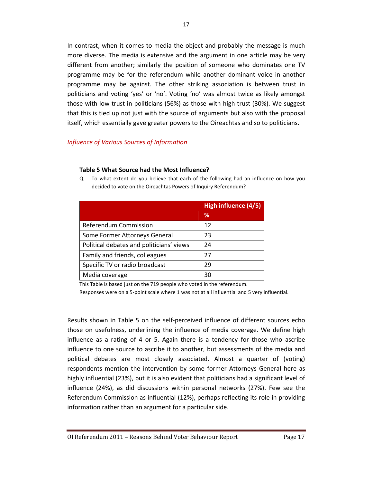In contrast, when it comes to media the object and probably the message is much more diverse. The media is extensive and the argument in one article may be very different from another; similarly the position of someone who dominates one TV programme may be for the referendum while another dominant voice in another programme may be against. The other striking association is between trust in politicians and voting 'yes' or 'no'. Voting 'no' was almost twice as likely amongst those with low trust in politicians (56%) as those with high trust (30%). We suggest that this is tied up not just with the source of arguments but also with the proposal itself, which essentially gave greater powers to the Oireachtas and so to politicians.

### Influence of Various Sources of Information

#### Table 5 What Source had the Most Influence?

|                                          | High influence (4/5) |
|------------------------------------------|----------------------|
|                                          | ℅                    |
| Referendum Commission                    | 12                   |
| Some Former Attorneys General            | 23                   |
| Political debates and politicians' views | 24                   |
| Family and friends, colleagues           | 27                   |
| Specific TV or radio broadcast           | 29                   |
| Media coverage                           | 30                   |

Q To what extent do you believe that each of the following had an influence on how you decided to vote on the Oireachtas Powers of Inquiry Referendum?

This Table is based just on the 719 people who voted in the referendum.

Responses were on a 5-point scale where 1 was not at all influential and 5 very influential.

Results shown in Table 5 on the self-perceived influence of different sources echo those on usefulness, underlining the influence of media coverage. We define high influence as a rating of 4 or 5. Again there is a tendency for those who ascribe influence to one source to ascribe it to another, but assessments of the media and political debates are most closely associated. Almost a quarter of (voting) respondents mention the intervention by some former Attorneys General here as highly influential (23%), but it is also evident that politicians had a significant level of influence (24%), as did discussions within personal networks (27%). Few see the Referendum Commission as influential (12%), perhaps reflecting its role in providing information rather than an argument for a particular side.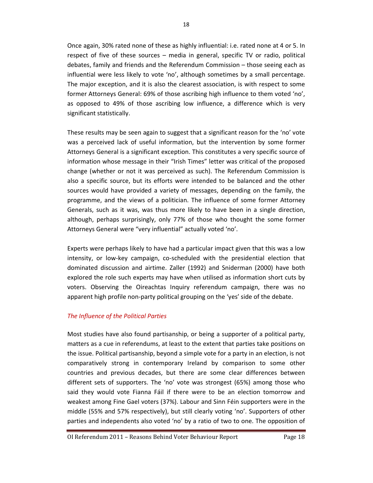Once again, 30% rated none of these as highly influential: i.e. rated none at 4 or 5. In respect of five of these sources – media in general, specific TV or radio, political debates, family and friends and the Referendum Commission – those seeing each as influential were less likely to vote 'no', although sometimes by a small percentage. The major exception, and it is also the clearest association, is with respect to some former Attorneys General: 69% of those ascribing high influence to them voted 'no', as opposed to 49% of those ascribing low influence, a difference which is very significant statistically.

These results may be seen again to suggest that a significant reason for the 'no' vote was a perceived lack of useful information, but the intervention by some former Attorneys General is a significant exception. This constitutes a very specific source of information whose message in their "Irish Times" letter was critical of the proposed change (whether or not it was perceived as such). The Referendum Commission is also a specific source, but its efforts were intended to be balanced and the other sources would have provided a variety of messages, depending on the family, the programme, and the views of a politician. The influence of some former Attorney Generals, such as it was, was thus more likely to have been in a single direction, although, perhaps surprisingly, only 77% of those who thought the some former Attorneys General were "very influential" actually voted 'no'.

Experts were perhaps likely to have had a particular impact given that this was a low intensity, or low-key campaign, co-scheduled with the presidential election that dominated discussion and airtime. Zaller (1992) and Sniderman (2000) have both explored the role such experts may have when utilised as information short cuts by voters. Observing the Oireachtas Inquiry referendum campaign, there was no apparent high profile non-party political grouping on the 'yes' side of the debate.

### The Influence of the Political Parties

Most studies have also found partisanship, or being a supporter of a political party, matters as a cue in referendums, at least to the extent that parties take positions on the issue. Political partisanship, beyond a simple vote for a party in an election, is not comparatively strong in contemporary Ireland by comparison to some other countries and previous decades, but there are some clear differences between different sets of supporters. The 'no' vote was strongest (65%) among those who said they would vote Fianna Fáil if there were to be an election tomorrow and weakest among Fine Gael voters (37%). Labour and Sinn Féin supporters were in the middle (55% and 57% respectively), but still clearly voting 'no'. Supporters of other parties and independents also voted 'no' by a ratio of two to one. The opposition of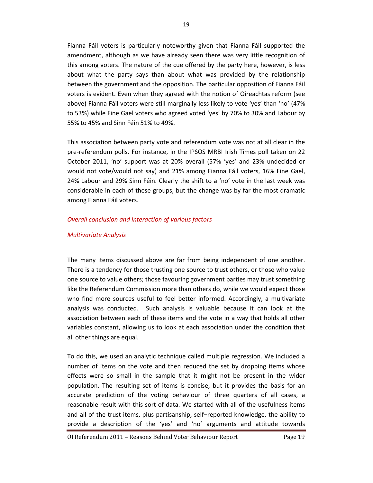Fianna Fáil voters is particularly noteworthy given that Fianna Fáil supported the amendment, although as we have already seen there was very little recognition of this among voters. The nature of the cue offered by the party here, however, is less about what the party says than about what was provided by the relationship between the government and the opposition. The particular opposition of Fianna Fáil voters is evident. Even when they agreed with the notion of Oireachtas reform (see above) Fianna Fáil voters were still marginally less likely to vote 'yes' than 'no' (47% to 53%) while Fine Gael voters who agreed voted 'yes' by 70% to 30% and Labour by 55% to 45% and Sinn Féin 51% to 49%.

This association between party vote and referendum vote was not at all clear in the pre-referendum polls. For instance, in the IPSOS MRBI Irish Times poll taken on 22 October 2011, 'no' support was at 20% overall (57% 'yes' and 23% undecided or would not vote/would not say) and 21% among Fianna Fáil voters, 16% Fine Gael, 24% Labour and 29% Sinn Féin. Clearly the shift to a 'no' vote in the last week was considerable in each of these groups, but the change was by far the most dramatic among Fianna Fáil voters.

### Overall conclusion and interaction of various factors

#### Multivariate Analysis

The many items discussed above are far from being independent of one another. There is a tendency for those trusting one source to trust others, or those who value one source to value others; those favouring government parties may trust something like the Referendum Commission more than others do, while we would expect those who find more sources useful to feel better informed. Accordingly, a multivariate analysis was conducted. Such analysis is valuable because it can look at the association between each of these items and the vote in a way that holds all other variables constant, allowing us to look at each association under the condition that all other things are equal.

To do this, we used an analytic technique called multiple regression. We included a number of items on the vote and then reduced the set by dropping items whose effects were so small in the sample that it might not be present in the wider population. The resulting set of items is concise, but it provides the basis for an accurate prediction of the voting behaviour of three quarters of all cases, a reasonable result with this sort of data. We started with all of the usefulness items and all of the trust items, plus partisanship, self–reported knowledge, the ability to provide a description of the 'yes' and 'no' arguments and attitude towards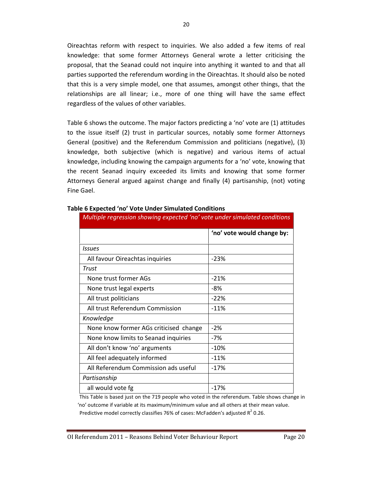Oireachtas reform with respect to inquiries. We also added a few items of real knowledge: that some former Attorneys General wrote a letter criticising the proposal, that the Seanad could not inquire into anything it wanted to and that all parties supported the referendum wording in the Oireachtas. It should also be noted that this is a very simple model, one that assumes, amongst other things, that the relationships are all linear; i.e., more of one thing will have the same effect regardless of the values of other variables.

Table 6 shows the outcome. The major factors predicting a 'no' vote are (1) attitudes to the issue itself (2) trust in particular sources, notably some former Attorneys General (positive) and the Referendum Commission and politicians (negative), (3) knowledge, both subjective (which is negative) and various items of actual knowledge, including knowing the campaign arguments for a 'no' vote, knowing that the recent Seanad inquiry exceeded its limits and knowing that some former Attorneys General argued against change and finally (4) partisanship, (not) voting Fine Gael.

| Multiple regression showing expected 'no' vote under simulated conditions |                            |  |
|---------------------------------------------------------------------------|----------------------------|--|
|                                                                           | 'no' vote would change by: |  |
| Issues                                                                    |                            |  |
| All favour Oireachtas inquiries                                           | $-23%$                     |  |
| Trust                                                                     |                            |  |
| None trust former AGs                                                     | $-21%$                     |  |
| None trust legal experts                                                  | -8%                        |  |
| All trust politicians                                                     | $-22%$                     |  |
| All trust Referendum Commission                                           | $-11%$                     |  |
| Knowledge                                                                 |                            |  |
| None know former AGs criticised change                                    | $-2%$                      |  |
| None know limits to Seanad inquiries                                      | $-7%$                      |  |
| All don't know 'no' arguments                                             | $-10%$                     |  |
| All feel adequately informed                                              | $-11%$                     |  |
| All Referendum Commission ads useful                                      | $-17%$                     |  |
| Partisanship                                                              |                            |  |
| all would vote fg                                                         | $-17%$                     |  |

#### Table 6 Expected 'no' Vote Under Simulated Conditions

This Table is based just on the 719 people who voted in the referendum. Table shows change in 'no' outcome if variable at its maximum/minimum value and all others at their mean value. Predictive model correctly classifies 76% of cases: McFadden's adjusted  $R^2$  0.26.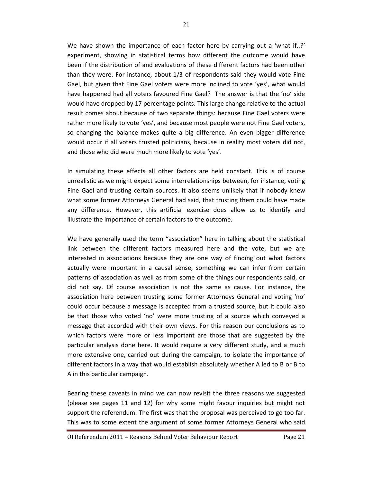We have shown the importance of each factor here by carrying out a 'what if..?' experiment, showing in statistical terms how different the outcome would have been if the distribution of and evaluations of these different factors had been other than they were. For instance, about 1/3 of respondents said they would vote Fine Gael, but given that Fine Gael voters were more inclined to vote 'yes', what would have happened had all voters favoured Fine Gael? The answer is that the 'no' side would have dropped by 17 percentage points. This large change relative to the actual result comes about because of two separate things: because Fine Gael voters were rather more likely to vote 'yes', and because most people were not Fine Gael voters, so changing the balance makes quite a big difference. An even bigger difference would occur if all voters trusted politicians, because in reality most voters did not, and those who did were much more likely to vote 'yes'.

In simulating these effects all other factors are held constant. This is of course unrealistic as we might expect some interrelationships between, for instance, voting Fine Gael and trusting certain sources. It also seems unlikely that if nobody knew what some former Attorneys General had said, that trusting them could have made any difference. However, this artificial exercise does allow us to identify and illustrate the importance of certain factors to the outcome.

We have generally used the term "association" here in talking about the statistical link between the different factors measured here and the vote, but we are interested in associations because they are one way of finding out what factors actually were important in a causal sense, something we can infer from certain patterns of association as well as from some of the things our respondents said, or did not say. Of course association is not the same as cause. For instance, the association here between trusting some former Attorneys General and voting 'no' could occur because a message is accepted from a trusted source, but it could also be that those who voted 'no' were more trusting of a source which conveyed a message that accorded with their own views. For this reason our conclusions as to which factors were more or less important are those that are suggested by the particular analysis done here. It would require a very different study, and a much more extensive one, carried out during the campaign, to isolate the importance of different factors in a way that would establish absolutely whether A led to B or B to A in this particular campaign.

Bearing these caveats in mind we can now revisit the three reasons we suggested (please see pages 11 and 12) for why some might favour inquiries but might not support the referendum. The first was that the proposal was perceived to go too far. This was to some extent the argument of some former Attorneys General who said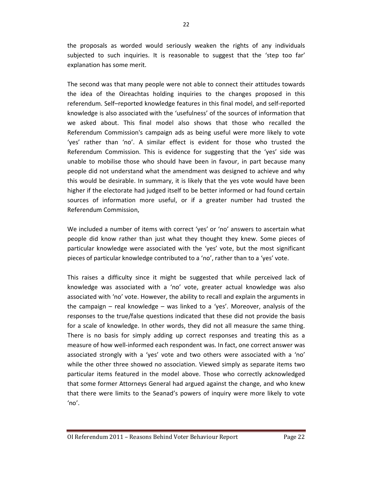the proposals as worded would seriously weaken the rights of any individuals subjected to such inquiries. It is reasonable to suggest that the 'step too far' explanation has some merit.

The second was that many people were not able to connect their attitudes towards the idea of the Oireachtas holding inquiries to the changes proposed in this referendum. Self–reported knowledge features in this final model, and self-reported knowledge is also associated with the 'usefulness' of the sources of information that we asked about. This final model also shows that those who recalled the Referendum Commission's campaign ads as being useful were more likely to vote 'yes' rather than 'no'. A similar effect is evident for those who trusted the Referendum Commission. This is evidence for suggesting that the 'yes' side was unable to mobilise those who should have been in favour, in part because many people did not understand what the amendment was designed to achieve and why this would be desirable. In summary, it is likely that the yes vote would have been higher if the electorate had judged itself to be better informed or had found certain sources of information more useful, or if a greater number had trusted the Referendum Commission,

We included a number of items with correct 'yes' or 'no' answers to ascertain what people did know rather than just what they thought they knew. Some pieces of particular knowledge were associated with the 'yes' vote, but the most significant pieces of particular knowledge contributed to a 'no', rather than to a 'yes' vote.

This raises a difficulty since it might be suggested that while perceived lack of knowledge was associated with a 'no' vote, greater actual knowledge was also associated with 'no' vote. However, the ability to recall and explain the arguments in the campaign – real knowledge – was linked to a 'yes'. Moreover, analysis of the responses to the true/false questions indicated that these did not provide the basis for a scale of knowledge. In other words, they did not all measure the same thing. There is no basis for simply adding up correct responses and treating this as a measure of how well-informed each respondent was. In fact, one correct answer was associated strongly with a 'yes' vote and two others were associated with a 'no' while the other three showed no association. Viewed simply as separate items two particular items featured in the model above. Those who correctly acknowledged that some former Attorneys General had argued against the change, and who knew that there were limits to the Seanad's powers of inquiry were more likely to vote 'no'.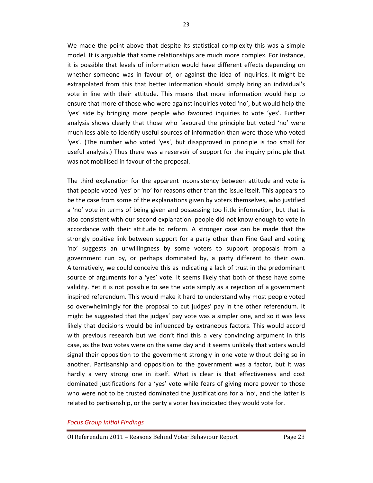We made the point above that despite its statistical complexity this was a simple model. It is arguable that some relationships are much more complex. For instance, it is possible that levels of information would have different effects depending on whether someone was in favour of, or against the idea of inquiries. It might be extrapolated from this that better information should simply bring an individual's vote in line with their attitude. This means that more information would help to ensure that more of those who were against inquiries voted 'no', but would help the 'yes' side by bringing more people who favoured inquiries to vote 'yes'. Further analysis shows clearly that those who favoured the principle but voted 'no' were much less able to identify useful sources of information than were those who voted 'yes'. (The number who voted 'yes', but disapproved in principle is too small for useful analysis.) Thus there was a reservoir of support for the inquiry principle that was not mobilised in favour of the proposal.

The third explanation for the apparent inconsistency between attitude and vote is that people voted 'yes' or 'no' for reasons other than the issue itself. This appears to be the case from some of the explanations given by voters themselves, who justified a 'no' vote in terms of being given and possessing too little information, but that is also consistent with our second explanation: people did not know enough to vote in accordance with their attitude to reform. A stronger case can be made that the strongly positive link between support for a party other than Fine Gael and voting 'no' suggests an unwillingness by some voters to support proposals from a government run by, or perhaps dominated by, a party different to their own. Alternatively, we could conceive this as indicating a lack of trust in the predominant source of arguments for a 'yes' vote. It seems likely that both of these have some validity. Yet it is not possible to see the vote simply as a rejection of a government inspired referendum. This would make it hard to understand why most people voted so overwhelmingly for the proposal to cut judges' pay in the other referendum. It might be suggested that the judges' pay vote was a simpler one, and so it was less likely that decisions would be influenced by extraneous factors. This would accord with previous research but we don't find this a very convincing argument in this case, as the two votes were on the same day and it seems unlikely that voters would signal their opposition to the government strongly in one vote without doing so in another. Partisanship and opposition to the government was a factor, but it was hardly a very strong one in itself. What is clear is that effectiveness and cost dominated justifications for a 'yes' vote while fears of giving more power to those who were not to be trusted dominated the justifications for a 'no', and the latter is related to partisanship, or the party a voter has indicated they would vote for.

#### Focus Group Initial Findings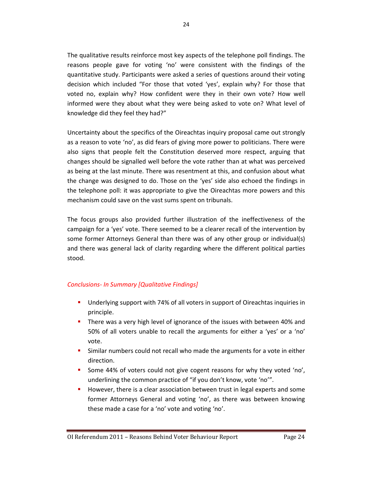The qualitative results reinforce most key aspects of the telephone poll findings. The reasons people gave for voting 'no' were consistent with the findings of the quantitative study. Participants were asked a series of questions around their voting decision which included "For those that voted 'yes', explain why? For those that voted no, explain why? How confident were they in their own vote? How well informed were they about what they were being asked to vote on? What level of knowledge did they feel they had?"

Uncertainty about the specifics of the Oireachtas inquiry proposal came out strongly as a reason to vote 'no', as did fears of giving more power to politicians. There were also signs that people felt the Constitution deserved more respect, arguing that changes should be signalled well before the vote rather than at what was perceived as being at the last minute. There was resentment at this, and confusion about what the change was designed to do. Those on the 'yes' side also echoed the findings in the telephone poll: it was appropriate to give the Oireachtas more powers and this mechanism could save on the vast sums spent on tribunals.

The focus groups also provided further illustration of the ineffectiveness of the campaign for a 'yes' vote. There seemed to be a clearer recall of the intervention by some former Attorneys General than there was of any other group or individual(s) and there was general lack of clarity regarding where the different political parties stood.

## Conclusions- In Summary [Qualitative Findings]

- Underlying support with 74% of all voters in support of Oireachtas inquiries in principle.
- **There was a very high level of ignorance of the issues with between 40% and** 50% of all voters unable to recall the arguments for either a 'yes' or a 'no' vote.
- Similar numbers could not recall who made the arguments for a vote in either direction.
- Some 44% of voters could not give cogent reasons for why they voted 'no', underlining the common practice of "if you don't know, vote 'no'".
- However, there is a clear association between trust in legal experts and some former Attorneys General and voting 'no', as there was between knowing these made a case for a 'no' vote and voting 'no'.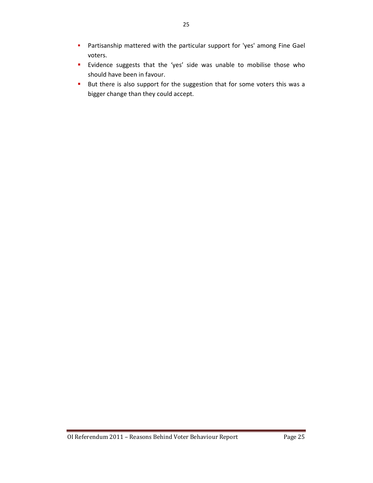- **Partisanship mattered with the particular support for 'yes' among Fine Gael** voters.
- **E** Evidence suggests that the 'yes' side was unable to mobilise those who should have been in favour.
- But there is also support for the suggestion that for some voters this was a bigger change than they could accept.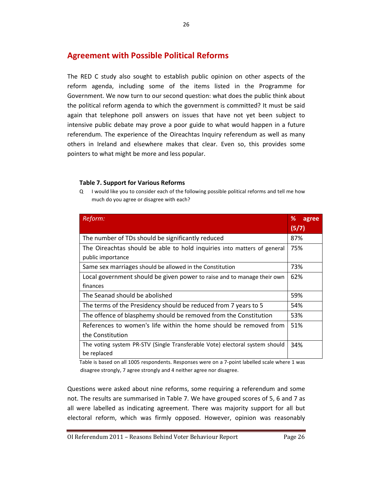## Agreement with Possible Political Reforms

The RED C study also sought to establish public opinion on other aspects of the reform agenda, including some of the items listed in the Programme for Government. We now turn to our second question: what does the public think about the political reform agenda to which the government is committed? It must be said again that telephone poll answers on issues that have not yet been subject to intensive public debate may prove a poor guide to what would happen in a future referendum. The experience of the Oireachtas Inquiry referendum as well as many others in Ireland and elsewhere makes that clear. Even so, this provides some pointers to what might be more and less popular.

## Table 7. Support for Various Reforms

Q I would like you to consider each of the following possible political reforms and tell me how much do you agree or disagree with each?

| Reform:                                                                     | %<br>agree |
|-----------------------------------------------------------------------------|------------|
|                                                                             | (5/7)      |
| The number of TDs should be significantly reduced                           | 87%        |
| The Oireachtas should be able to hold inquiries into matters of general     | 75%        |
| public importance                                                           |            |
| Same sex marriages should be allowed in the Constitution                    | 73%        |
| Local government should be given power to raise and to manage their own     | 62%        |
| finances                                                                    |            |
| The Seanad should be abolished                                              | 59%        |
| The terms of the Presidency should be reduced from 7 years to 5             | 54%        |
| The offence of blasphemy should be removed from the Constitution            | 53%        |
| References to women's life within the home should be removed from           | 51%        |
| the Constitution                                                            |            |
| The voting system PR-STV (Single Transferable Vote) electoral system should | 34%        |
| be replaced                                                                 |            |

Table is based on all 1005 respondents. Responses were on a 7-point labelled scale where 1 was disagree strongly, 7 agree strongly and 4 neither agree nor disagree.

Questions were asked about nine reforms, some requiring a referendum and some not. The results are summarised in Table 7. We have grouped scores of 5, 6 and 7 as all were labelled as indicating agreement. There was majority support for all but electoral reform, which was firmly opposed. However, opinion was reasonably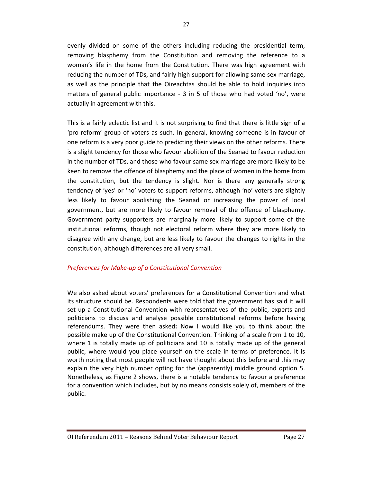evenly divided on some of the others including reducing the presidential term, removing blasphemy from the Constitution and removing the reference to a woman's life in the home from the Constitution. There was high agreement with reducing the number of TDs, and fairly high support for allowing same sex marriage, as well as the principle that the Oireachtas should be able to hold inquiries into matters of general public importance - 3 in 5 of those who had voted 'no', were actually in agreement with this.

This is a fairly eclectic list and it is not surprising to find that there is little sign of a 'pro-reform' group of voters as such. In general, knowing someone is in favour of one reform is a very poor guide to predicting their views on the other reforms. There is a slight tendency for those who favour abolition of the Seanad to favour reduction in the number of TDs, and those who favour same sex marriage are more likely to be keen to remove the offence of blasphemy and the place of women in the home from the constitution, but the tendency is slight. Nor is there any generally strong tendency of 'yes' or 'no' voters to support reforms, although 'no' voters are slightly less likely to favour abolishing the Seanad or increasing the power of local government, but are more likely to favour removal of the offence of blasphemy. Government party supporters are marginally more likely to support some of the institutional reforms, though not electoral reform where they are more likely to disagree with any change, but are less likely to favour the changes to rights in the constitution, although differences are all very small.

### Preferences for Make-up of a Constitutional Convention

We also asked about voters' preferences for a Constitutional Convention and what its structure should be. Respondents were told that the government has said it will set up a Constitutional Convention with representatives of the public, experts and politicians to discuss and analyse possible constitutional reforms before having referendums. They were then asked: Now I would like you to think about the possible make up of the Constitutional Convention. Thinking of a scale from 1 to 10, where 1 is totally made up of politicians and 10 is totally made up of the general public, where would you place yourself on the scale in terms of preference. It is worth noting that most people will not have thought about this before and this may explain the very high number opting for the (apparently) middle ground option 5. Nonetheless, as Figure 2 shows, there is a notable tendency to favour a preference for a convention which includes, but by no means consists solely of, members of the public.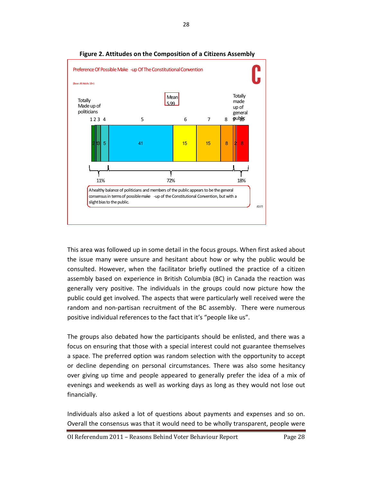

### Figure 2. Attitudes on the Composition of a Citizens Assembly

This area was followed up in some detail in the focus groups. When first asked about the issue many were unsure and hesitant about how or why the public would be consulted. However, when the facilitator briefly outlined the practice of a citizen assembly based on experience in British Columbia (BC) in Canada the reaction was generally very positive. The individuals in the groups could now picture how the public could get involved. The aspects that were particularly well received were the random and non-partisan recruitment of the BC assembly. There were numerous positive individual references to the fact that it's "people like us".

The groups also debated how the participants should be enlisted, and there was a focus on ensuring that those with a special interest could not guarantee themselves a space. The preferred option was random selection with the opportunity to accept or decline depending on personal circumstances. There was also some hesitancy over giving up time and people appeared to generally prefer the idea of a mix of evenings and weekends as well as working days as long as they would not lose out financially.

Individuals also asked a lot of questions about payments and expenses and so on. Overall the consensus was that it would need to be wholly transparent, people were

OI Referendum 2011 – Reasons Behind Voter Behaviour Report Page 28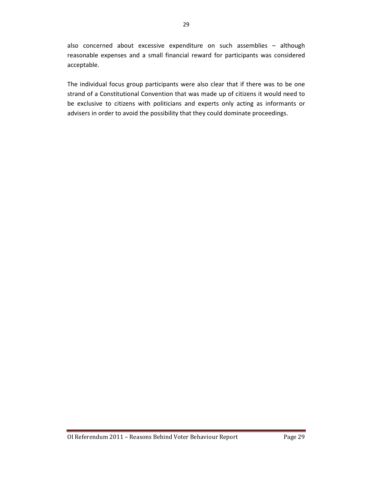also concerned about excessive expenditure on such assemblies – although reasonable expenses and a small financial reward for participants was considered acceptable.

The individual focus group participants were also clear that if there was to be one strand of a Constitutional Convention that was made up of citizens it would need to be exclusive to citizens with politicians and experts only acting as informants or advisers in order to avoid the possibility that they could dominate proceedings.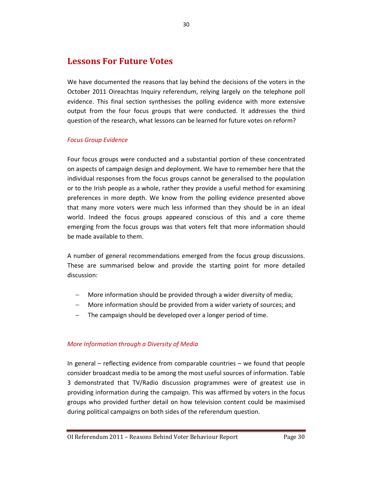## Lessons For Future Votes

We have documented the reasons that lay behind the decisions of the voters in the October 2011 Oireachtas Inquiry referendum, relying largely on the telephone poll evidence. This final section synthesises the polling evidence with more extensive output from the four focus groups that were conducted. It addresses the third question of the research, what lessons can be learned for future votes on reform?

## Focus Group Evidence

Four focus groups were conducted and a substantial portion of these concentrated on aspects of campaign design and deployment. We have to remember here that the individual responses from the focus groups cannot be generalised to the population or to the Irish people as a whole, rather they provide a useful method for examining preferences in more depth. We know from the polling evidence presented above that many more voters were much less informed than they should be in an ideal world. Indeed the focus groups appeared conscious of this and a core theme emerging from the focus groups was that voters felt that more information should be made available to them.

A number of general recommendations emerged from the focus group discussions. These are summarised below and provide the starting point for more detailed discussion:

- − More information should be provided through a wider diversity of media;
- − More information should be provided from a wider variety of sources; and
- − The campaign should be developed over a longer period of time.

## More Information through a Diversity of Media

In general – reflecting evidence from comparable countries – we found that people consider broadcast media to be among the most useful sources of information. Table 3 demonstrated that TV/Radio discussion programmes were of greatest use in providing information during the campaign. This was affirmed by voters in the focus groups who provided further detail on how television content could be maximised during political campaigns on both sides of the referendum question.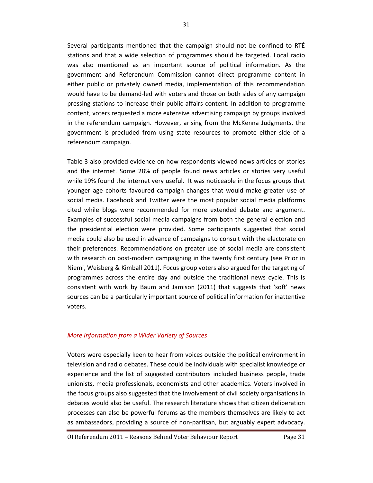Several participants mentioned that the campaign should not be confined to RTÉ stations and that a wide selection of programmes should be targeted. Local radio was also mentioned as an important source of political information. As the government and Referendum Commission cannot direct programme content in either public or privately owned media, implementation of this recommendation would have to be demand-led with voters and those on both sides of any campaign pressing stations to increase their public affairs content. In addition to programme content, voters requested a more extensive advertising campaign by groups involved in the referendum campaign. However, arising from the McKenna Judgments, the government is precluded from using state resources to promote either side of a referendum campaign.

Table 3 also provided evidence on how respondents viewed news articles or stories and the internet. Some 28% of people found news articles or stories very useful while 19% found the internet very useful. It was noticeable in the focus groups that younger age cohorts favoured campaign changes that would make greater use of social media. Facebook and Twitter were the most popular social media platforms cited while blogs were recommended for more extended debate and argument. Examples of successful social media campaigns from both the general election and the presidential election were provided. Some participants suggested that social media could also be used in advance of campaigns to consult with the electorate on their preferences. Recommendations on greater use of social media are consistent with research on post-modern campaigning in the twenty first century (see Prior in Niemi, Weisberg & Kimball 2011). Focus group voters also argued for the targeting of programmes across the entire day and outside the traditional news cycle. This is consistent with work by Baum and Jamison (2011) that suggests that 'soft' news sources can be a particularly important source of political information for inattentive voters.

### More Information from a Wider Variety of Sources

Voters were especially keen to hear from voices outside the political environment in television and radio debates. These could be individuals with specialist knowledge or experience and the list of suggested contributors included business people, trade unionists, media professionals, economists and other academics. Voters involved in the focus groups also suggested that the involvement of civil society organisations in debates would also be useful. The research literature shows that citizen deliberation processes can also be powerful forums as the members themselves are likely to act as ambassadors, providing a source of non-partisan, but arguably expert advocacy.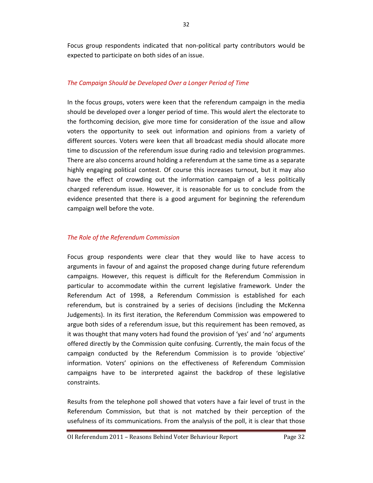Focus group respondents indicated that non-political party contributors would be expected to participate on both sides of an issue.

### The Campaign Should be Developed Over a Longer Period of Time

In the focus groups, voters were keen that the referendum campaign in the media should be developed over a longer period of time. This would alert the electorate to the forthcoming decision, give more time for consideration of the issue and allow voters the opportunity to seek out information and opinions from a variety of different sources. Voters were keen that all broadcast media should allocate more time to discussion of the referendum issue during radio and television programmes. There are also concerns around holding a referendum at the same time as a separate highly engaging political contest. Of course this increases turnout, but it may also have the effect of crowding out the information campaign of a less politically charged referendum issue. However, it is reasonable for us to conclude from the evidence presented that there is a good argument for beginning the referendum campaign well before the vote.

#### The Role of the Referendum Commission

Focus group respondents were clear that they would like to have access to arguments in favour of and against the proposed change during future referendum campaigns. However, this request is difficult for the Referendum Commission in particular to accommodate within the current legislative framework. Under the Referendum Act of 1998, a Referendum Commission is established for each referendum, but is constrained by a series of decisions (including the McKenna Judgements). In its first iteration, the Referendum Commission was empowered to argue both sides of a referendum issue, but this requirement has been removed, as it was thought that many voters had found the provision of 'yes' and 'no' arguments offered directly by the Commission quite confusing. Currently, the main focus of the campaign conducted by the Referendum Commission is to provide 'objective' information. Voters' opinions on the effectiveness of Referendum Commission campaigns have to be interpreted against the backdrop of these legislative constraints.

Results from the telephone poll showed that voters have a fair level of trust in the Referendum Commission, but that is not matched by their perception of the usefulness of its communications. From the analysis of the poll, it is clear that those

OI Referendum 2011 – Reasons Behind Voter Behaviour Report Page 32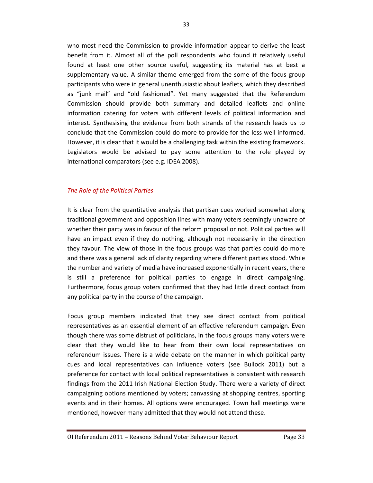who most need the Commission to provide information appear to derive the least benefit from it. Almost all of the poll respondents who found it relatively useful found at least one other source useful, suggesting its material has at best a supplementary value. A similar theme emerged from the some of the focus group participants who were in general unenthusiastic about leaflets, which they described as "junk mail" and "old fashioned". Yet many suggested that the Referendum Commission should provide both summary and detailed leaflets and online information catering for voters with different levels of political information and interest. Synthesising the evidence from both strands of the research leads us to conclude that the Commission could do more to provide for the less well-informed. However, it is clear that it would be a challenging task within the existing framework. Legislators would be advised to pay some attention to the role played by international comparators (see e.g. IDEA 2008).

#### The Role of the Political Parties

It is clear from the quantitative analysis that partisan cues worked somewhat along traditional government and opposition lines with many voters seemingly unaware of whether their party was in favour of the reform proposal or not. Political parties will have an impact even if they do nothing, although not necessarily in the direction they favour. The view of those in the focus groups was that parties could do more and there was a general lack of clarity regarding where different parties stood. While the number and variety of media have increased exponentially in recent years, there is still a preference for political parties to engage in direct campaigning. Furthermore, focus group voters confirmed that they had little direct contact from any political party in the course of the campaign.

Focus group members indicated that they see direct contact from political representatives as an essential element of an effective referendum campaign. Even though there was some distrust of politicians, in the focus groups many voters were clear that they would like to hear from their own local representatives on referendum issues. There is a wide debate on the manner in which political party cues and local representatives can influence voters (see Bullock 2011) but a preference for contact with local political representatives is consistent with research findings from the 2011 Irish National Election Study. There were a variety of direct campaigning options mentioned by voters; canvassing at shopping centres, sporting events and in their homes. All options were encouraged. Town hall meetings were mentioned, however many admitted that they would not attend these.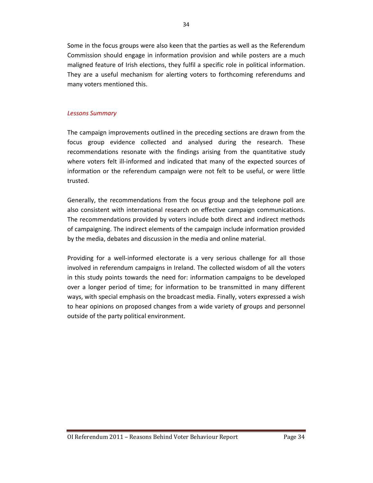Some in the focus groups were also keen that the parties as well as the Referendum Commission should engage in information provision and while posters are a much maligned feature of Irish elections, they fulfil a specific role in political information. They are a useful mechanism for alerting voters to forthcoming referendums and many voters mentioned this.

#### Lessons Summary

The campaign improvements outlined in the preceding sections are drawn from the focus group evidence collected and analysed during the research. These recommendations resonate with the findings arising from the quantitative study where voters felt ill-informed and indicated that many of the expected sources of information or the referendum campaign were not felt to be useful, or were little trusted.

Generally, the recommendations from the focus group and the telephone poll are also consistent with international research on effective campaign communications. The recommendations provided by voters include both direct and indirect methods of campaigning. The indirect elements of the campaign include information provided by the media, debates and discussion in the media and online material.

Providing for a well-informed electorate is a very serious challenge for all those involved in referendum campaigns in Ireland. The collected wisdom of all the voters in this study points towards the need for: information campaigns to be developed over a longer period of time; for information to be transmitted in many different ways, with special emphasis on the broadcast media. Finally, voters expressed a wish to hear opinions on proposed changes from a wide variety of groups and personnel outside of the party political environment.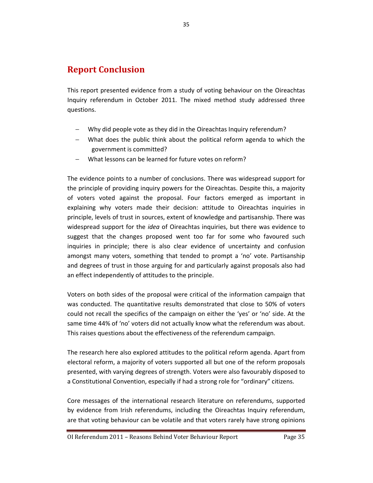## Report Conclusion

This report presented evidence from a study of voting behaviour on the Oireachtas Inquiry referendum in October 2011. The mixed method study addressed three questions.

- − Why did people vote as they did in the Oireachtas Inquiry referendum?
- − What does the public think about the political reform agenda to which the government is committed?
- − What lessons can be learned for future votes on reform?

The evidence points to a number of conclusions. There was widespread support for the principle of providing inquiry powers for the Oireachtas. Despite this, a majority of voters voted against the proposal. Four factors emerged as important in explaining why voters made their decision: attitude to Oireachtas inquiries in principle, levels of trust in sources, extent of knowledge and partisanship. There was widespread support for the *idea* of Oireachtas inquiries, but there was evidence to suggest that the changes proposed went too far for some who favoured such inquiries in principle; there is also clear evidence of uncertainty and confusion amongst many voters, something that tended to prompt a 'no' vote. Partisanship and degrees of trust in those arguing for and particularly against proposals also had an effect independently of attitudes to the principle.

Voters on both sides of the proposal were critical of the information campaign that was conducted. The quantitative results demonstrated that close to 50% of voters could not recall the specifics of the campaign on either the 'yes' or 'no' side. At the same time 44% of 'no' voters did not actually know what the referendum was about. This raises questions about the effectiveness of the referendum campaign.

The research here also explored attitudes to the political reform agenda. Apart from electoral reform, a majority of voters supported all but one of the reform proposals presented, with varying degrees of strength. Voters were also favourably disposed to a Constitutional Convention, especially if had a strong role for "ordinary" citizens.

Core messages of the international research literature on referendums, supported by evidence from Irish referendums, including the Oireachtas Inquiry referendum, are that voting behaviour can be volatile and that voters rarely have strong opinions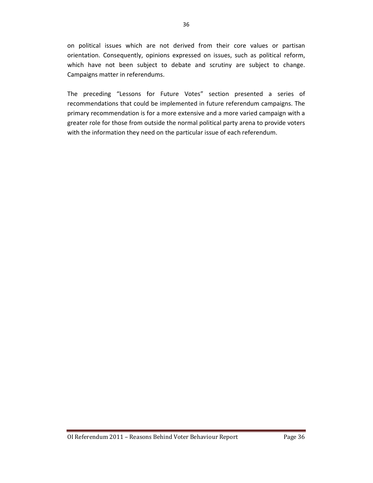on political issues which are not derived from their core values or partisan orientation. Consequently, opinions expressed on issues, such as political reform, which have not been subject to debate and scrutiny are subject to change. Campaigns matter in referendums.

The preceding "Lessons for Future Votes" section presented a series of recommendations that could be implemented in future referendum campaigns. The primary recommendation is for a more extensive and a more varied campaign with a greater role for those from outside the normal political party arena to provide voters with the information they need on the particular issue of each referendum.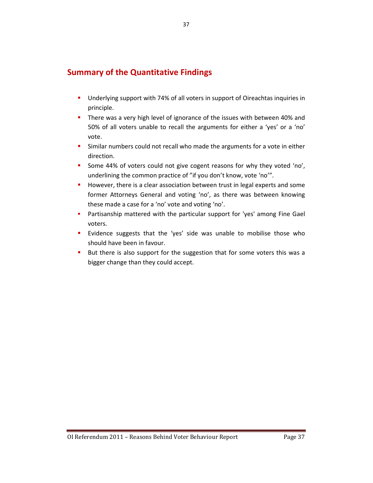## Summary of the Quantitative Findings

- Underlying support with 74% of all voters in support of Oireachtas inquiries in principle.
- There was a very high level of ignorance of the issues with between 40% and 50% of all voters unable to recall the arguments for either a 'yes' or a 'no' vote.
- Similar numbers could not recall who made the arguments for a vote in either direction.
- Some 44% of voters could not give cogent reasons for why they voted 'no', underlining the common practice of "if you don't know, vote 'no'".
- **However, there is a clear association between trust in legal experts and some** former Attorneys General and voting 'no', as there was between knowing these made a case for a 'no' vote and voting 'no'.
- Partisanship mattered with the particular support for 'yes' among Fine Gael voters.
- Evidence suggests that the 'yes' side was unable to mobilise those who should have been in favour.
- But there is also support for the suggestion that for some voters this was a bigger change than they could accept.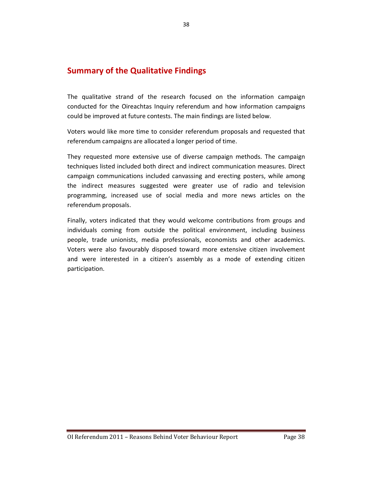## Summary of the Qualitative Findings

The qualitative strand of the research focused on the information campaign conducted for the Oireachtas Inquiry referendum and how information campaigns could be improved at future contests. The main findings are listed below.

Voters would like more time to consider referendum proposals and requested that referendum campaigns are allocated a longer period of time.

They requested more extensive use of diverse campaign methods. The campaign techniques listed included both direct and indirect communication measures. Direct campaign communications included canvassing and erecting posters, while among the indirect measures suggested were greater use of radio and television programming, increased use of social media and more news articles on the referendum proposals.

Finally, voters indicated that they would welcome contributions from groups and individuals coming from outside the political environment, including business people, trade unionists, media professionals, economists and other academics. Voters were also favourably disposed toward more extensive citizen involvement and were interested in a citizen's assembly as a mode of extending citizen participation.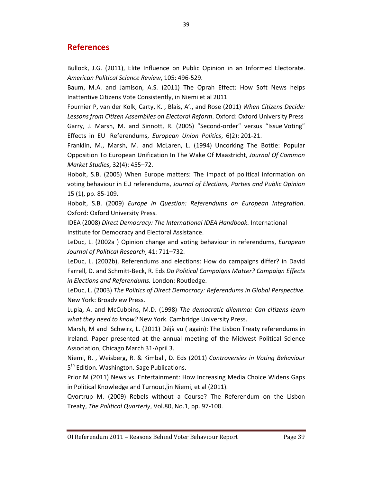## **References**

Bullock, J.G. (2011), Elite Influence on Public Opinion in an Informed Electorate. American Political Science Review, 105: 496-529.

Baum, M.A. and Jamison, A.S. (2011) The Oprah Effect: How Soft News helps Inattentive Citizens Vote Consistently, in Niemi et al 2011

Fournier P, van der Kolk, Carty, K. , Blais, A'., and Rose (2011) When Citizens Decide: Lessons from Citizen Assemblies on Electoral Reform. Oxford: Oxford University Press Garry, J. Marsh, M. and Sinnott, R. (2005) "Second-order" versus "Issue Voting" Effects in EU Referendums, European Union Politics, 6(2): 201-21.

Franklin, M., Marsh, M. and McLaren, L. (1994) Uncorking The Bottle: Popular Opposition To European Unification In The Wake Of Maastricht, Journal Of Common Market Studies, 32(4): 455–72.

Hobolt, S.B. (2005) When Europe matters: The impact of political information on voting behaviour in EU referendums, Journal of Elections, Parties and Public Opinion 15 (1), pp. 85-109.

Hobolt, S.B. (2009) Europe in Question: Referendums on European Integration. Oxford: Oxford University Press.

IDEA (2008) Direct Democracy: The International IDEA Handbook. International Institute for Democracy and Electoral Assistance.

LeDuc, L. (2002a) Opinion change and voting behaviour in referendums, *European* Journal of Political Research, 41: 711–732.

LeDuc, L. (2002b), Referendums and elections: How do campaigns differ? in David Farrell, D. and Schmitt-Beck, R. Eds Do Political Campaigns Matter? Campaign Effects in Elections and Referendums. London: Routledge.

LeDuc, L. (2003) The Politics of Direct Democracy: Referendums in Global Perspective. New York: Broadview Press.

Lupia, A. and McCubbins, M.D. (1998) The democratic dilemma: Can citizens learn what they need to know? New York. Cambridge University Press.

Marsh, M and Schwirz, L. (2011) Déjà vu ( again): The Lisbon Treaty referendums in Ireland. Paper presented at the annual meeting of the Midwest Political Science Association, Chicago March 31-April 3.

Niemi, R. , Weisberg, R. & Kimball, D. Eds (2011) Controversies in Voting Behaviour 5<sup>th</sup> Edition. Washington. Sage Publications.

Prior M (2011) News vs. Entertainment: How Increasing Media Choice Widens Gaps in Political Knowledge and Turnout, in Niemi, et al (2011).

Qvortrup M. (2009) Rebels without a Course? The Referendum on the Lisbon Treaty, The Political Quarterly, Vol.80, No.1, pp. 97-108.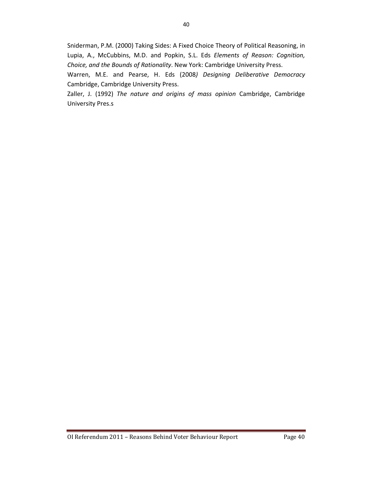Sniderman, P.M. (2000) Taking Sides: A Fixed Choice Theory of Political Reasoning, in Lupia, A., McCubbins, M.D. and Popkin, S.L. Eds Elements of Reason: Cognition, Choice, and the Bounds of Rationality. New York: Cambridge University Press.

Warren, M.E. and Pearse, H. Eds (2008) Designing Deliberative Democracy Cambridge, Cambridge University Press.

Zaller, J. (1992) The nature and origins of mass opinion Cambridge, Cambridge University Pres.s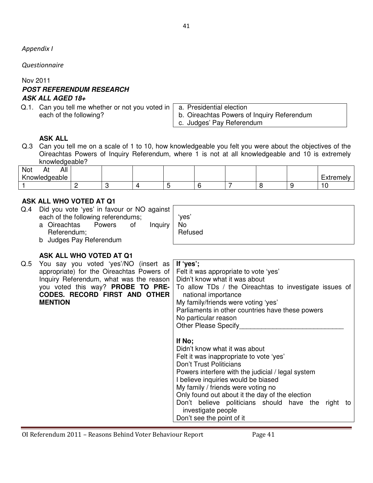Appendix I

Questionnaire

Nov 2011

## **POST REFERENDUM RESEARCH ASK ALL AGED 18+**

Q.1. Can you tell me whether or not you voted in each of the following?

a. Presidential election b. Oireachtas Powers of Inquiry Referendum c. Judges' Pay Referendum

## **ASK ALL**

Q.3 Can you tell me on a scale of 1 to 10, how knowledgeable you felt you were about the objectives of the Oireachtas Powers of Inquiry Referendum, where 1 is not at all knowledgeable and 10 is extremely knowledgeable?

| All<br>Not<br>$H_{L}$    |   |  |  |  |                                      |
|--------------------------|---|--|--|--|--------------------------------------|
| ''<br>rnowled<br>dqeable |   |  |  |  | $\overline{\phantom{0}}$<br>$\cdots$ |
|                          | - |  |  |  |                                      |

## **ASK ALL WHO VOTED AT Q1**

- Q.4 Did you vote 'yes' in favour or NO against each of the following referendums;
	- a Oireachtas Powers of Inquiry Referendum; b Judges Pay Referendum

No Refused

'yes'

**ASK ALL WHO VOTED AT Q1**  Q.5 You say you voted 'yes'/NO (insert as appropriate) for the Oireachtas Powers of Inquiry Referendum, what was the reason you voted this way? **PROBE TO PRE-CODES. RECORD FIRST AND OTHER MENTION If 'yes';**  Felt it was appropriate to vote 'yes' Didn't know what it was about To allow TDs / the Oireachtas to investigate issues of national importance My family/friends were voting 'yes' Parliaments in other countries have these powers No particular reason Other Please Specify **If No;**  Didn't know what it was about Felt it was inappropriate to vote 'yes' Don't Trust Politicians Powers interfere with the judicial / legal system I believe inquiries would be biased My family / friends were voting no Only found out about it the day of the election Don't believe politicians should have the right to investigate people Don't see the point of it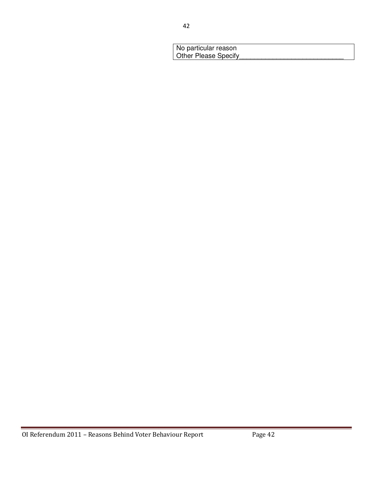| No particular reason |  |
|----------------------|--|
| Other Please Specify |  |
|                      |  |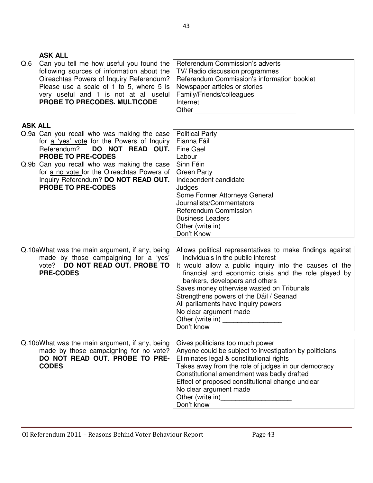|                | <b>ASK ALL</b>                                                                                                                                                                                                                                           |                                                                                                                                                                                                                                                                                                                                                                                                                                                                                                                                                                                    |
|----------------|----------------------------------------------------------------------------------------------------------------------------------------------------------------------------------------------------------------------------------------------------------|------------------------------------------------------------------------------------------------------------------------------------------------------------------------------------------------------------------------------------------------------------------------------------------------------------------------------------------------------------------------------------------------------------------------------------------------------------------------------------------------------------------------------------------------------------------------------------|
| Q.6            | Can you tell me how useful you found the<br>following sources of information about the<br>Oireachtas Powers of Inquiry Referendum?<br>Please use a scale of 1 to 5, where 5 is<br>very useful and 1 is not at all useful<br>PROBE TO PRECODES. MULTICODE | Referendum Commission's adverts<br>TV/ Radio discussion programmes<br>Referendum Commission's information booklet<br>Newspaper articles or stories<br>Family/Friends/colleagues<br>Internet<br>Other                                                                                                                                                                                                                                                                                                                                                                               |
| <b>ASK ALL</b> |                                                                                                                                                                                                                                                          |                                                                                                                                                                                                                                                                                                                                                                                                                                                                                                                                                                                    |
|                | Q.9a Can you recall who was making the case<br>for a 'yes' vote for the Powers of Inquiry<br>Referendum?<br>DO NOT READ OUT.<br><b>PROBE TO PRE-CODES</b><br>Q.9b Can you recall who was making the case<br>for a no vote for the Oireachtas Powers of   | <b>Political Party</b><br>Fianna Fáil<br><b>Fine Gael</b><br>Labour<br>Sinn Féin<br><b>Green Party</b>                                                                                                                                                                                                                                                                                                                                                                                                                                                                             |
|                | Inquiry Referendum? DO NOT READ OUT.<br><b>PROBE TO PRE-CODES</b>                                                                                                                                                                                        | Independent candidate<br>Judges<br>Some Former Attorneys General<br>Journalists/Commentators<br>Referendum Commission<br><b>Business Leaders</b><br>Other (write in)<br>Don't Know                                                                                                                                                                                                                                                                                                                                                                                                 |
|                | Q.10aWhat was the main argument, if any, being<br>made by those campaigning for a 'yes'<br>DO NOT READ OUT. PROBE TO<br>vote?<br><b>PRE-CODES</b>                                                                                                        | Allows political representatives to make findings against<br>individuals in the public interest<br>It would allow a public inquiry into the causes of the<br>financial and economic crisis and the role played by<br>bankers, developers and others                                                                                                                                                                                                                                                                                                                                |
|                |                                                                                                                                                                                                                                                          | Saves money otherwise wasted on Tribunals<br>Strengthens powers of the Dáil / Seanad<br>All parliaments have inquiry powers<br>No clear argument made<br>Other (write in)<br>Don't know                                                                                                                                                                                                                                                                                                                                                                                            |
|                | Q.10bWhat was the main argument, if any, being<br>made by those campaigning for no vote?<br>DO NOT READ OUT. PROBE TO PRE-<br><b>CODES</b>                                                                                                               | Gives politicians too much power<br>Anyone could be subject to investigation by politicians<br>Eliminates legal & constitutional rights<br>Takes away from the role of judges in our democracy<br>Constitutional amendment was badly drafted<br>Effect of proposed constitutional change unclear<br>No clear argument made<br>Other (write in)<br><u>Letter and the substantial of the substantial of the substantial of the substantial of the substantial of the substantial of the substantial of the substantial of the substantial of the substantial of th</u><br>Don't know |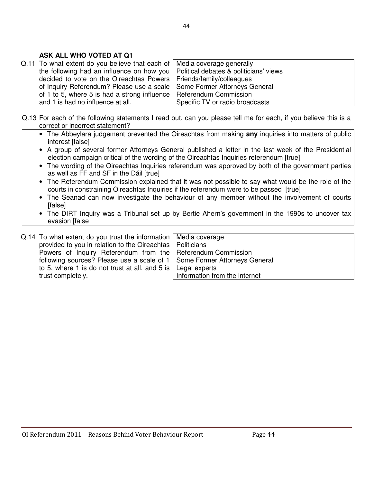## **ASK ALL WHO VOTED AT Q1**

Q.11 To what extent do you believe that each of the following had an influence on how you decided to vote on the Oireachtas Powers of Inquiry Referendum? Please use a scale of 1 to 5, where 5 is had a strong influence and 1 is had no influence at all.

Media coverage generally Political debates & politicians' views Friends/family/colleagues Some Former Attorneys General Referendum Commission Specific TV or radio broadcasts

- Q.13 For each of the following statements I read out, can you please tell me for each, if you believe this is a correct or incorrect statement?
	- The Abbeylara judgement prevented the Oireachtas from making **any** inquiries into matters of public interest [false]
	- A group of several former Attorneys General published a letter in the last week of the Presidential election campaign critical of the wording of the Oireachtas Inquiries referendum [true]
	- The wording of the Oireachtas Inquiries referendum was approved by both of the government parties as well as FF and SF in the Dáil [true]
	- The Referendum Commission explained that it was not possible to say what would be the role of the courts in constraining Oireachtas Inquiries if the referendum were to be passed [true]
	- The Seanad can now investigate the behaviour of any member without the involvement of courts [false]
	- The DIRT Inquiry was a Tribunal set up by Bertie Ahern's government in the 1990s to uncover tax evasion [false

| Q.14 To what extent do you trust the information   Media coverage          |                               |
|----------------------------------------------------------------------------|-------------------------------|
| provided to you in relation to the Oireachtas   Politicians                |                               |
| Powers of Inquiry Referendum from the   Referendum Commission              |                               |
| following sources? Please use a scale of 1   Some Former Attorneys General |                               |
| to 5, where 1 is do not trust at all, and 5 is $\vert$ Legal experts       |                               |
| trust completely.                                                          | Information from the internet |